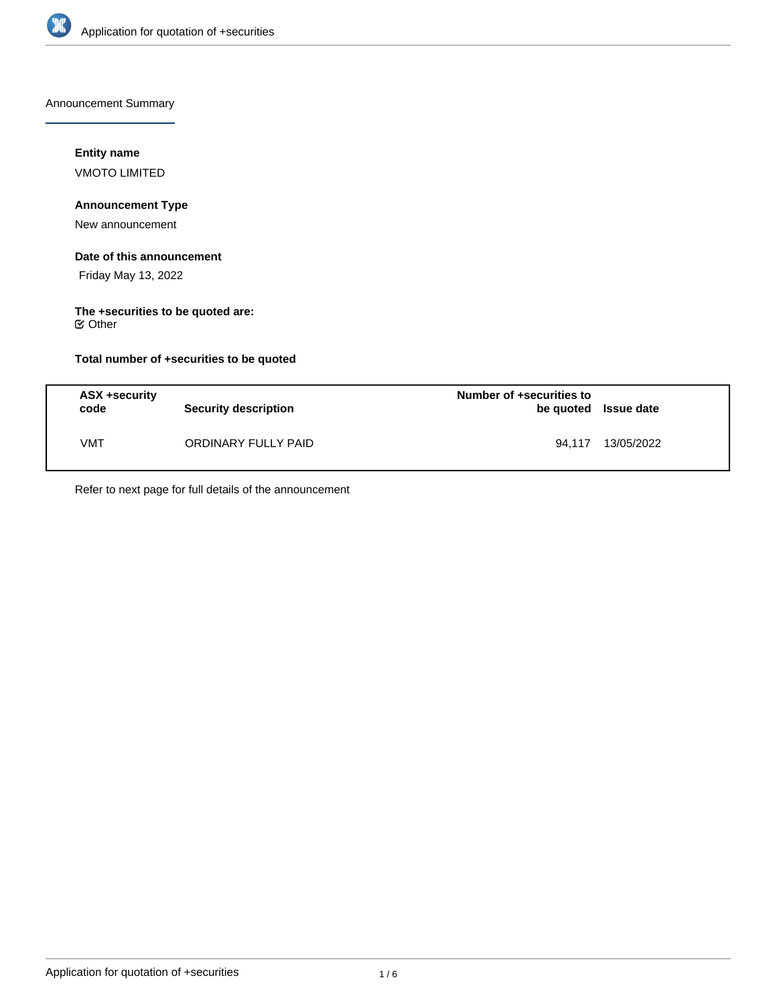

Announcement Summary

## **Entity name**

VMOTO LIMITED

# **Announcement Type**

New announcement

#### **Date of this announcement**

Friday May 13, 2022

# **The +securities to be quoted are:**

Other

## **Total number of +securities to be quoted**

| ASX +security<br>code | Security description | Number of +securities to<br>be quoted Issue date |            |
|-----------------------|----------------------|--------------------------------------------------|------------|
| VMT                   | ORDINARY FULLY PAID  | 94.117                                           | 13/05/2022 |

Refer to next page for full details of the announcement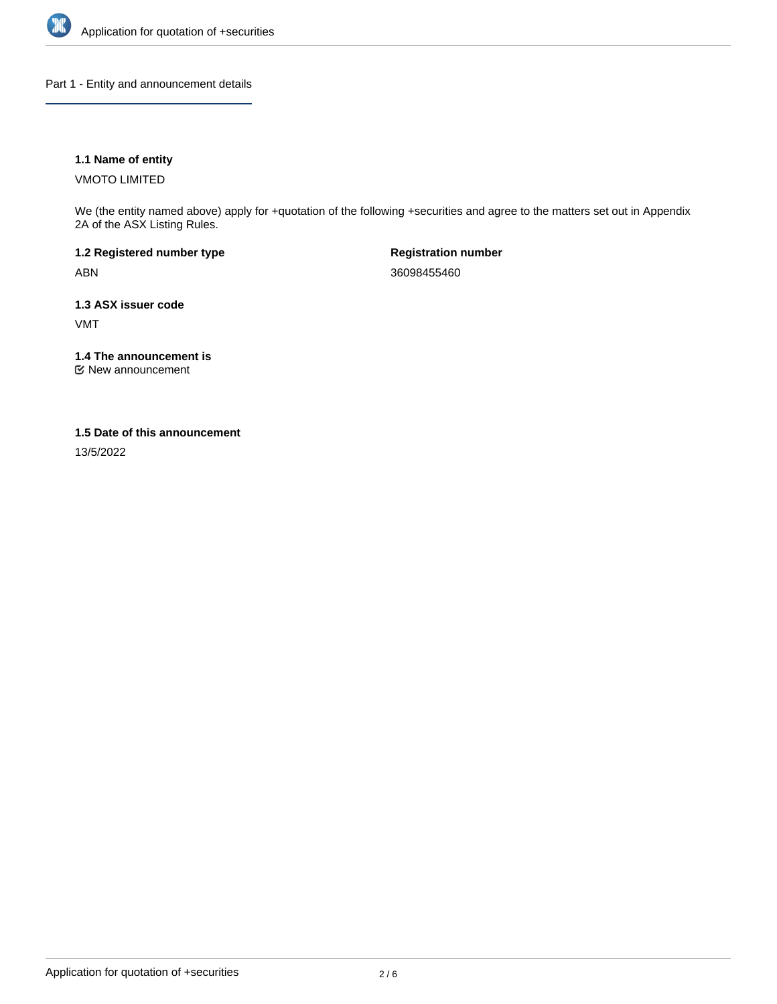

Part 1 - Entity and announcement details

#### **1.1 Name of entity**

VMOTO LIMITED

We (the entity named above) apply for +quotation of the following +securities and agree to the matters set out in Appendix 2A of the ASX Listing Rules.

**1.2 Registered number type** ABN

**Registration number** 36098455460

**1.3 ASX issuer code** VMT

**1.4 The announcement is**

New announcement

#### **1.5 Date of this announcement**

13/5/2022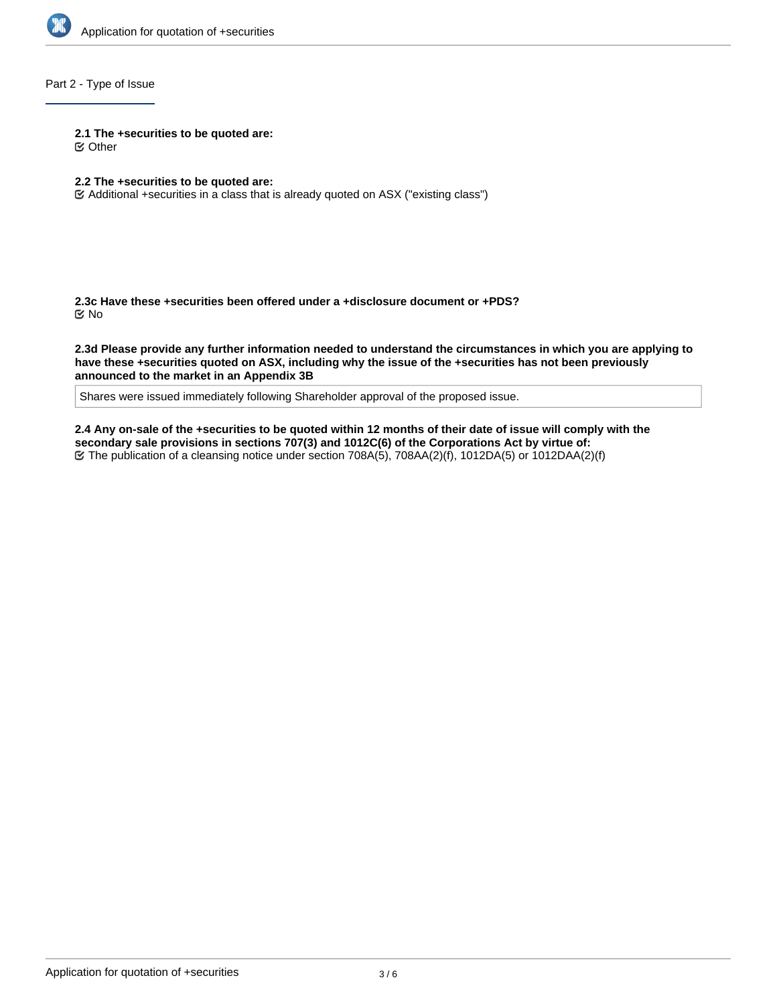

## Part 2 - Type of Issue

**2.1 The +securities to be quoted are:**

Other

#### **2.2 The +securities to be quoted are:**

Additional +securities in a class that is already quoted on ASX ("existing class")

**2.3c Have these +securities been offered under a +disclosure document or +PDS?** No

**2.3d Please provide any further information needed to understand the circumstances in which you are applying to have these +securities quoted on ASX, including why the issue of the +securities has not been previously announced to the market in an Appendix 3B**

Shares were issued immediately following Shareholder approval of the proposed issue.

**2.4 Any on-sale of the +securities to be quoted within 12 months of their date of issue will comply with the secondary sale provisions in sections 707(3) and 1012C(6) of the Corporations Act by virtue of:** The publication of a cleansing notice under section 708A(5), 708AA(2)(f), 1012DA(5) or 1012DAA(2)(f)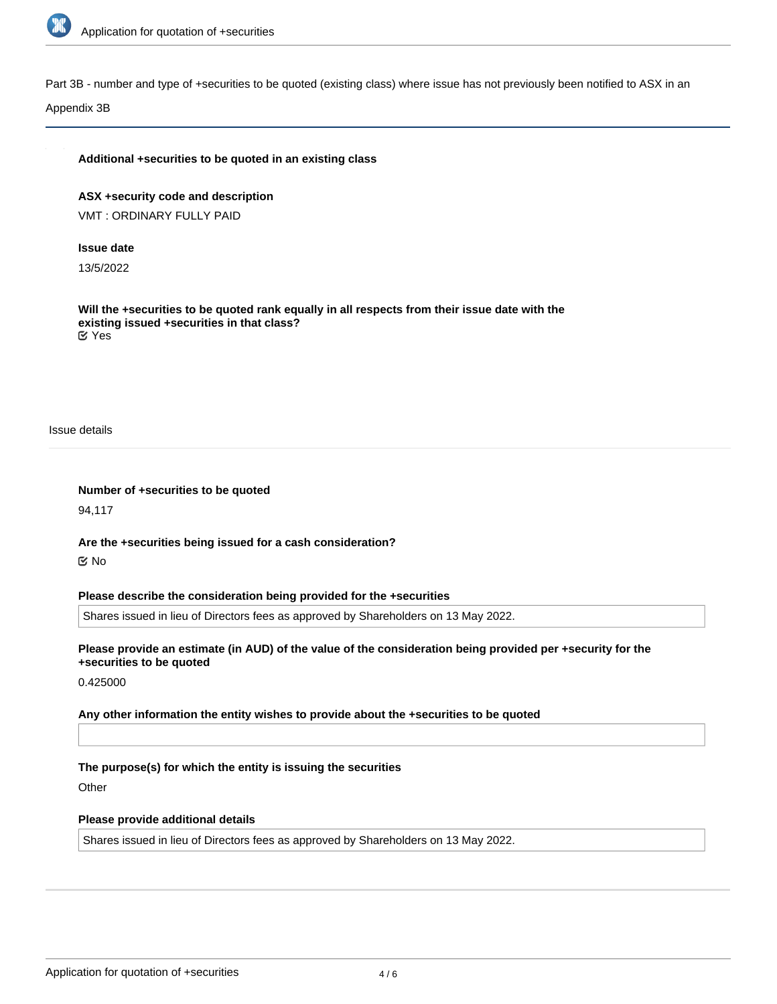

Part 3B - number and type of +securities to be quoted (existing class) where issue has not previously been notified to ASX in an

Appendix 3B

#### **Additional +securities to be quoted in an existing class**

**ASX +security code and description** VMT : ORDINARY FULLY PAID

#### **Issue date**

13/5/2022

**Will the +securities to be quoted rank equally in all respects from their issue date with the existing issued +securities in that class?** Yes

Issue details

**Number of +securities to be quoted**

94,117

**Are the +securities being issued for a cash consideration?** No

**Please describe the consideration being provided for the +securities**

Shares issued in lieu of Directors fees as approved by Shareholders on 13 May 2022.

**Please provide an estimate (in AUD) of the value of the consideration being provided per +security for the +securities to be quoted**

0.425000

**Any other information the entity wishes to provide about the +securities to be quoted**

**The purpose(s) for which the entity is issuing the securities**

**Other** 

#### **Please provide additional details**

Shares issued in lieu of Directors fees as approved by Shareholders on 13 May 2022.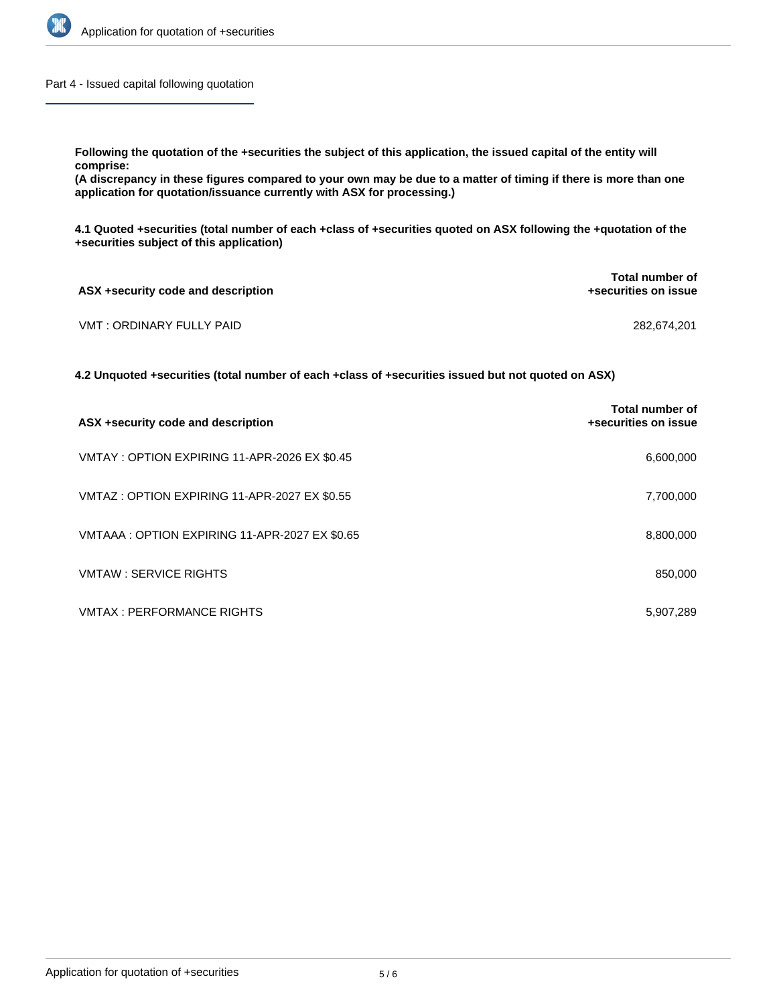

Part 4 - Issued capital following quotation

**Following the quotation of the +securities the subject of this application, the issued capital of the entity will comprise:**

**(A discrepancy in these figures compared to your own may be due to a matter of timing if there is more than one application for quotation/issuance currently with ASX for processing.)**

**4.1 Quoted +securities (total number of each +class of +securities quoted on ASX following the +quotation of the +securities subject of this application)**

| ASX +security code and description | <b>Total number of</b><br>+securities on issue |  |
|------------------------------------|------------------------------------------------|--|
| VMT : ORDINARY FULLY PAID          | 282,674,201                                    |  |

**4.2 Unquoted +securities (total number of each +class of +securities issued but not quoted on ASX)**

| ASX +security code and description            | Total number of<br>+securities on issue |
|-----------------------------------------------|-----------------------------------------|
| VMTAY: OPTION EXPIRING 11-APR-2026 EX \$0.45  | 6,600,000                               |
| VMTAZ: OPTION EXPIRING 11-APR-2027 EX \$0.55  | 7,700,000                               |
| VMTAAA: OPTION EXPIRING 11-APR-2027 EX \$0.65 | 8,800,000                               |
| <b>VMTAW: SERVICE RIGHTS</b>                  | 850,000                                 |
| <b>VMTAX: PERFORMANCE RIGHTS</b>              | 5,907,289                               |